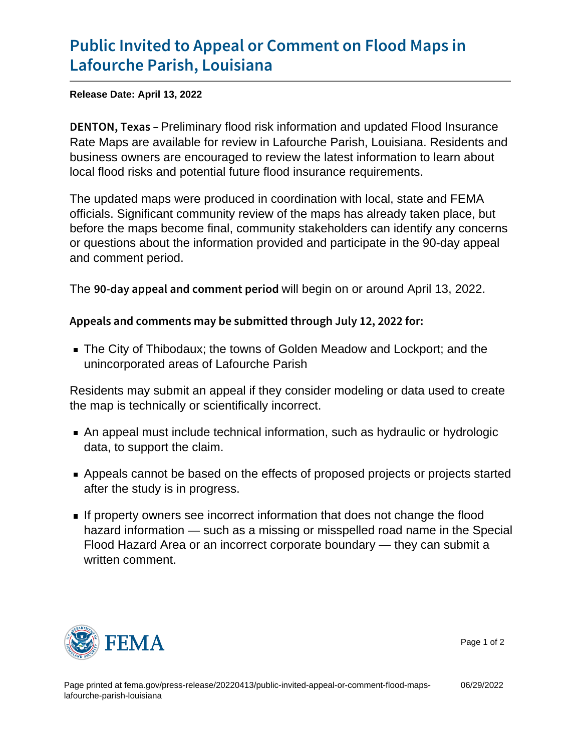## [Public Invited to Appeal or Comm](https://www.fema.gov/press-release/20220413/public-invited-appeal-or-comment-flood-maps-lafourche-parish-louisiana)ent on F [Lafourche Parish](https://www.fema.gov/press-release/20220413/public-invited-appeal-or-comment-flood-maps-lafourche-parish-louisiana), Louisiana

Release Date: April 13, 2022

DENTON, Peekinainary flood risk information and updated Flood Insurance Rate Maps are available for review in Lafourche Parish, Louisiana. Residents and business owners are encouraged to review the latest information to learn about local flood risks and potential future flood insurance requirements.

The updated maps were produced in coordination with local, state and FEMA officials. Significant community review of the maps has already taken place, but before the maps become final, community stakeholders can identify any concerns or questions about the information provided and participate in the 90-day appeal and comment period.

The  $90$ -day appeal and commithibegin to perraround April 13, 2022.

Appeals and comments may be submitted through July 12, 2022

The City of Thibodaux; the towns of Golden Meadow and Lockport; and the unincorporated areas of Lafourche Parish

Residents may submit an appeal if they consider modeling or data used to create the map is technically or scientifically incorrect.

- An appeal must include technical information, such as hydraulic or hydrologic data, to support the claim.
- Appeals cannot be based on the effects of proposed projects or projects started after the study is in progress.
- If property owners see incorrect information that does not change the flood hazard information — such as a missing or misspelled road name in the Special Flood Hazard Area or an incorrect corporate boundary — they can submit a written comment.



Page 1 of 2